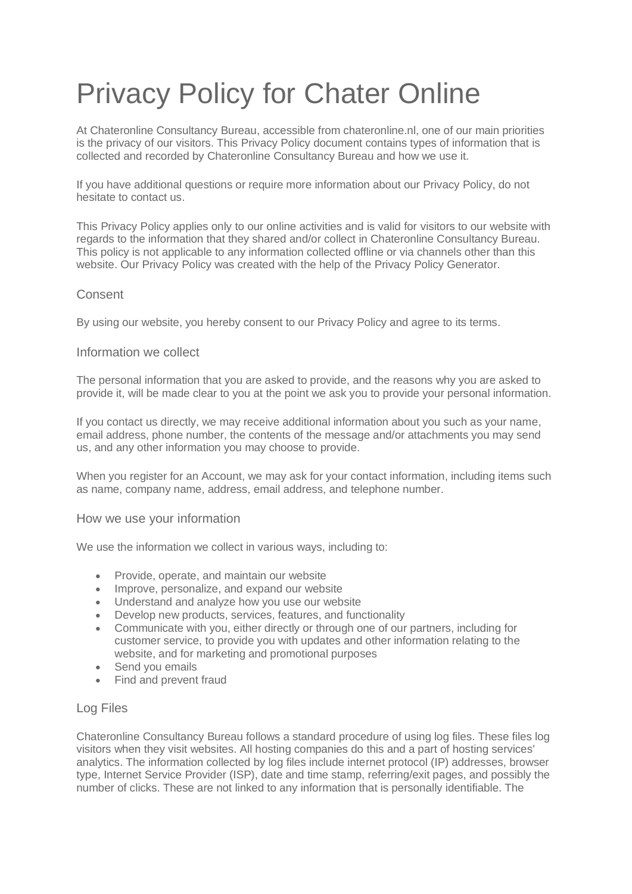# Privacy Policy for Chater Online

At Chateronline Consultancy Bureau, accessible from chateronline.nl, one of our main priorities is the privacy of our visitors. This Privacy Policy document contains types of information that is collected and recorded by Chateronline Consultancy Bureau and how we use it.

If you have additional questions or require more information about our Privacy Policy, do not hesitate to contact us.

This Privacy Policy applies only to our online activities and is valid for visitors to our website with regards to the information that they shared and/or collect in Chateronline Consultancy Bureau. This policy is not applicable to any information collected offline or via channels other than this website. Our Privacy Policy was created with the help of the [Privacy Policy Generator.](https://www.generateprivacypolicy.com/)

## **Consent**

By using our website, you hereby consent to our Privacy Policy and agree to its terms.

## Information we collect

The personal information that you are asked to provide, and the reasons why you are asked to provide it, will be made clear to you at the point we ask you to provide your personal information.

If you contact us directly, we may receive additional information about you such as your name, email address, phone number, the contents of the message and/or attachments you may send us, and any other information you may choose to provide.

When you register for an Account, we may ask for your contact information, including items such as name, company name, address, email address, and telephone number.

## How we use your information

We use the information we collect in various ways, including to:

- Provide, operate, and maintain our website
- Improve, personalize, and expand our website
- Understand and analyze how you use our website
- Develop new products, services, features, and functionality
- Communicate with you, either directly or through one of our partners, including for customer service, to provide you with updates and other information relating to the website, and for marketing and promotional purposes
- Send you emails
- Find and prevent fraud

## Log Files

Chateronline Consultancy Bureau follows a standard procedure of using log files. These files log visitors when they visit websites. All hosting companies do this and a part of hosting services' analytics. The information collected by log files include internet protocol (IP) addresses, browser type, Internet Service Provider (ISP), date and time stamp, referring/exit pages, and possibly the number of clicks. These are not linked to any information that is personally identifiable. The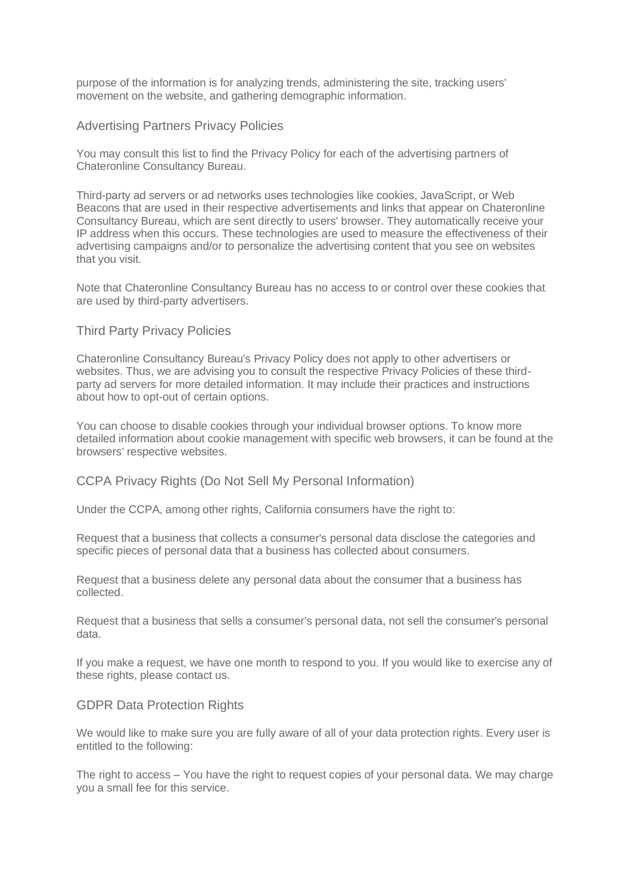purpose of the information is for analyzing trends, administering the site, tracking users' movement on the website, and gathering demographic information.

## Advertising Partners Privacy Policies

You may consult this list to find the Privacy Policy for each of the advertising partners of Chateronline Consultancy Bureau.

Third-party ad servers or ad networks uses technologies like cookies, JavaScript, or Web Beacons that are used in their respective advertisements and links that appear on Chateronline Consultancy Bureau, which are sent directly to users' browser. They automatically receive your IP address when this occurs. These technologies are used to measure the effectiveness of their advertising campaigns and/or to personalize the advertising content that you see on websites that you visit.

Note that Chateronline Consultancy Bureau has no access to or control over these cookies that are used by third-party advertisers.

## Third Party Privacy Policies

Chateronline Consultancy Bureau's Privacy Policy does not apply to other advertisers or websites. Thus, we are advising you to consult the respective Privacy Policies of these thirdparty ad servers for more detailed information. It may include their practices and instructions about how to opt-out of certain options.

You can choose to disable cookies through your individual browser options. To know more detailed information about cookie management with specific web browsers, it can be found at the browsers' respective websites.

## CCPA Privacy Rights (Do Not Sell My Personal Information)

Under the CCPA, among other rights, California consumers have the right to:

Request that a business that collects a consumer's personal data disclose the categories and specific pieces of personal data that a business has collected about consumers.

Request that a business delete any personal data about the consumer that a business has collected.

Request that a business that sells a consumer's personal data, not sell the consumer's personal data.

If you make a request, we have one month to respond to you. If you would like to exercise any of these rights, please contact us.

## GDPR Data Protection Rights

We would like to make sure you are fully aware of all of your data protection rights. Every user is entitled to the following:

The right to access – You have the right to request copies of your personal data. We may charge you a small fee for this service.